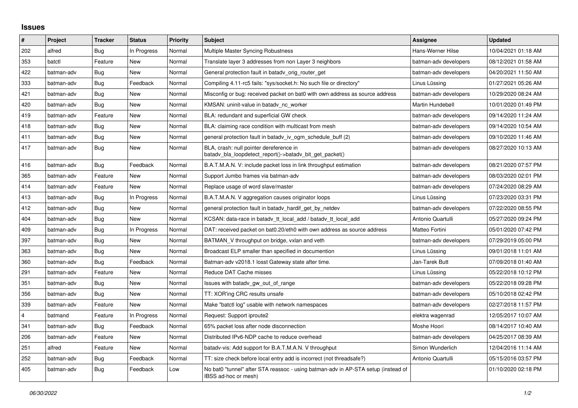## **Issues**

| $\pmb{\#}$              | Project    | <b>Tracker</b> | <b>Status</b> | Priority | <b>Subject</b>                                                                                            | <b>Assignee</b>       | <b>Updated</b>      |
|-------------------------|------------|----------------|---------------|----------|-----------------------------------------------------------------------------------------------------------|-----------------------|---------------------|
| 202                     | alfred     | Bug            | In Progress   | Normal   | Multiple Master Syncing Robustness                                                                        | Hans-Werner Hilse     | 10/04/2021 01:18 AM |
| 353                     | batctl     | Feature        | New           | Normal   | Translate layer 3 addresses from non Layer 3 neighbors                                                    | batman-adv developers | 08/12/2021 01:58 AM |
| 422                     | batman-adv | Bug            | <b>New</b>    | Normal   | General protection fault in batady orig router get                                                        | batman-adv developers | 04/20/2021 11:50 AM |
| 333                     | batman-adv | Bug            | Feedback      | Normal   | Compiling 4.11-rc5 fails: "sys/socket.h: No such file or directory"                                       | Linus Lüssing         | 01/27/2021 05:26 AM |
| 421                     | batman-adv | Bug            | New           | Normal   | Misconfig or bug: received packet on bat0 with own address as source address                              | batman-adv developers | 10/29/2020 08:24 AM |
| 420                     | batman-adv | Bug            | <b>New</b>    | Normal   | KMSAN: uninit-value in batady nc worker                                                                   | Martin Hundebøll      | 10/01/2020 01:49 PM |
| 419                     | batman-adv | Feature        | <b>New</b>    | Normal   | BLA: redundant and superficial GW check                                                                   | batman-adv developers | 09/14/2020 11:24 AM |
| 418                     | batman-adv | Bug            | New           | Normal   | BLA: claiming race condition with multicast from mesh                                                     | batman-adv developers | 09/14/2020 10:54 AM |
| 411                     | batman-adv | Bug            | New           | Normal   | general protection fault in batady iv ogm schedule buff (2)                                               | batman-adv developers | 09/10/2020 11:46 AM |
| 417                     | batman-adv | Bug            | <b>New</b>    | Normal   | BLA, crash: null pointer dereference in<br>batady bla loopdetect report()->batady bit get packet()        | batman-adv developers | 08/27/2020 10:13 AM |
| 416                     | batman-adv | <b>Bug</b>     | Feedback      | Normal   | B.A.T.M.A.N. V: include packet loss in link throughput estimation                                         | batman-adv developers | 08/21/2020 07:57 PM |
| 365                     | batman-adv | Feature        | <b>New</b>    | Normal   | Support Jumbo frames via batman-adv                                                                       | batman-adv developers | 08/03/2020 02:01 PM |
| 414                     | batman-adv | Feature        | <b>New</b>    | Normal   | Replace usage of word slave/master                                                                        | batman-adv developers | 07/24/2020 08:29 AM |
| 413                     | batman-adv | Bug            | In Progress   | Normal   | B.A.T.M.A.N. V aggregation causes originator loops                                                        | Linus Lüssing         | 07/23/2020 03:31 PM |
| 412                     | batman-adv | Bug            | <b>New</b>    | Normal   | general protection fault in batady hardif get by netdev                                                   | batman-adv developers | 07/22/2020 08:55 PM |
| 404                     | batman-adv | Bug            | New           | Normal   | KCSAN: data-race in batady tt local add / batady tt local add                                             | Antonio Quartulli     | 05/27/2020 09:24 PM |
| 409                     | batman-adv | Bug            | In Progress   | Normal   | DAT: received packet on bat0.20/eth0 with own address as source address                                   | Matteo Fortini        | 05/01/2020 07:42 PM |
| 397                     | batman-adv | Bug            | <b>New</b>    | Normal   | BATMAN V throughput on bridge, vxlan and veth                                                             | batman-adv developers | 07/29/2019 05:00 PM |
| 363                     | batman-adv | Bug            | <b>New</b>    | Normal   | Broadcast ELP smaller than specified in documention                                                       | Linus Lüssing         | 09/01/2018 11:01 AM |
| 360                     | batman-adv | Bug            | Feedback      | Normal   | Batman-adv v2018.1 losst Gateway state after time.                                                        | Jan-Tarek Butt        | 07/09/2018 01:40 AM |
| 291                     | batman-adv | Feature        | <b>New</b>    | Normal   | Reduce DAT Cache misses                                                                                   | Linus Lüssing         | 05/22/2018 10:12 PM |
| 351                     | batman-adv | Bug            | New           | Normal   | Issues with batady gw out of range                                                                        | batman-adv developers | 05/22/2018 09:28 PM |
| 356                     | batman-adv | Bug            | <b>New</b>    | Normal   | TT: XOR'ing CRC results unsafe                                                                            | batman-adv developers | 05/10/2018 02:42 PM |
| 339                     | batman-adv | Feature        | <b>New</b>    | Normal   | Make "batctl log" usable with network namespaces                                                          | batman-adv developers | 02/27/2018 11:57 PM |
| $\overline{\mathbf{4}}$ | batmand    | Feature        | In Progress   | Normal   | Request: Support iproute2                                                                                 | elektra wagenrad      | 12/05/2017 10:07 AM |
| 341                     | batman-adv | Bug            | Feedback      | Normal   | 65% packet loss after node disconnection                                                                  | Moshe Hoori           | 08/14/2017 10:40 AM |
| 206                     | batman-adv | Feature        | <b>New</b>    | Normal   | Distributed IPv6-NDP cache to reduce overhead                                                             | batman-adv developers | 04/25/2017 08:39 AM |
| 251                     | alfred     | Feature        | New           | Normal   | batady-vis: Add support for B.A.T.M.A.N. V throughput                                                     | Simon Wunderlich      | 12/04/2016 11:14 AM |
| 252                     | batman-adv | Bug            | Feedback      | Normal   | TT: size check before local entry add is incorrect (not threadsafe?)                                      | Antonio Quartulli     | 05/15/2016 03:57 PM |
| 405                     | batman-adv | Bug            | Feedback      | Low      | No bat0 "tunnel" after STA reassoc - using batman-adv in AP-STA setup (instead of<br>IBSS ad-hoc or mesh) |                       | 01/10/2020 02:18 PM |